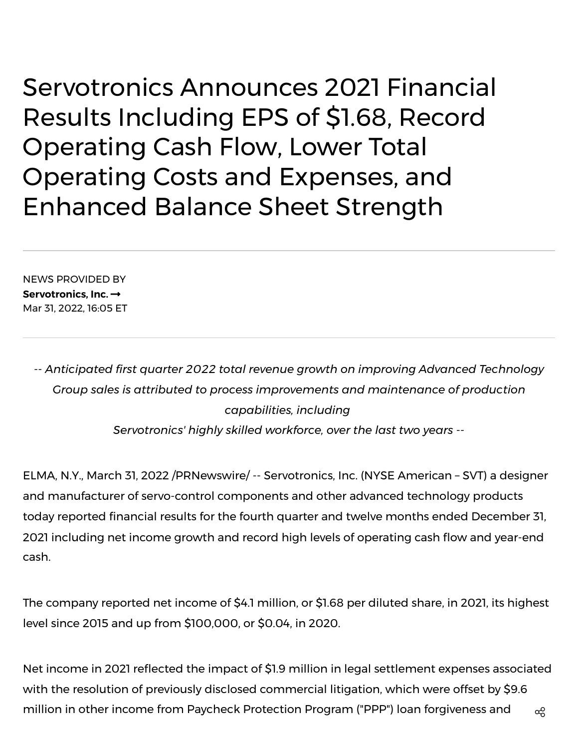Servotronics Announces 2021 Financial Results Including EPS of \$1.68, Record Operating Cash Flow, Lower Total Operating Costs and Expenses, and Enhanced Balance Sheet Strength

NEWS PROVIDED BY **[Servotronics,](https://www.prnewswire.com/news/servotronics%2C-inc./) Inc.** Mar 31, 2022, 16:05 ET

*-- Anticipated first quarter 2022 total revenue growth on improving Advanced Technology Group sales is attributed to process improvements and maintenance of production capabilities, including Servotronics' highly skilled workforce, over the last two years --*

ELMA, N.Y., March 31, 2022 /PRNewswire/ -- Servotronics, Inc. (NYSE American – SVT) a designer and manufacturer of servo-control components and other advanced technology products today reported financial results for the fourth quarter and twelve months ended December 31, 2021 including net income growth and record high levels of operating cash flow and year-end cash.

The company reported net income of \$4.1 million, or \$1.68 per diluted share, in 2021, its highest level since 2015 and up from \$100,000, or \$0.04, in 2020.

Net income in 2021 reflected the impact of \$1.9 million in legal settlement expenses associated with the resolution of previously disclosed commercial litigation, which were offset by \$9.6 million in other income from Paycheck Protection Program ("PPP") loan forgiveness and  $\qquad$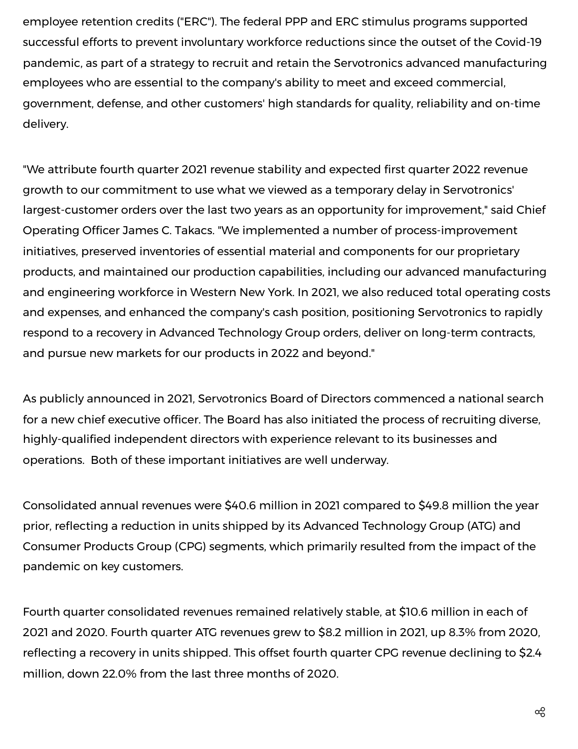employee retention credits ("ERC"). The federal PPP and ERC stimulus programs supported successful efforts to prevent involuntary workforce reductions since the outset of the Covid-19 pandemic, as part of a strategy to recruit and retain the Servotronics advanced manufacturing employees who are essential to the company's ability to meet and exceed commercial, government, defense, and other customers' high standards for quality, reliability and on-time delivery.

"We attribute fourth quarter 2021 revenue stability and expected first quarter 2022 revenue growth to our commitment to use what we viewed as a temporary delay in Servotronics' largest-customer orders over the last two years as an opportunity for improvement," said Chief Operating Officer James C. Takacs. "We implemented a number of process-improvement initiatives, preserved inventories of essential material and components for our proprietary products, and maintained our production capabilities, including our advanced manufacturing and engineering workforce in Western New York. In 2021, we also reduced total operating costs and expenses, and enhanced the company's cash position, positioning Servotronics to rapidly respond to a recovery in Advanced Technology Group orders, deliver on long-term contracts, and pursue new markets for our products in 2022 and beyond."

As publicly announced in 2021, Servotronics Board of Directors commenced a national search for a new chief executive officer. The Board has also initiated the process of recruiting diverse, highly-qualified independent directors with experience relevant to its businesses and operations. Both of these important initiatives are well underway.

Consolidated annual revenues were \$40.6 million in 2021 compared to \$49.8 million the year prior, reflecting a reduction in units shipped by its Advanced Technology Group (ATG) and Consumer Products Group (CPG) segments, which primarily resulted from the impact of the pandemic on key customers.

Fourth quarter consolidated revenues remained relatively stable, at \$10.6 million in each of 2021 and 2020. Fourth quarter ATG revenues grew to \$8.2 million in 2021, up 8.3% from 2020, reflecting a recovery in units shipped. This offset fourth quarter CPG revenue declining to \$2.4 million, down 22.0% from the last three months of 2020.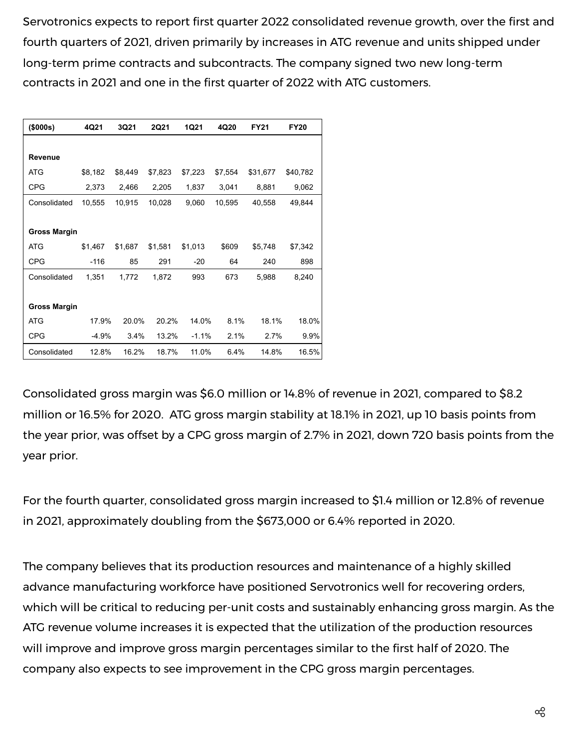Servotronics expects to report first quarter 2022 consolidated revenue growth, over the first and fourth quarters of 2021, driven primarily by increases in ATG revenue and units shipped under long-term prime contracts and subcontracts. The company signed two new long-term contracts in 2021 and one in the first quarter of 2022 with ATG customers.

| (\$000s)            | 4Q21    | 3Q21    | <b>2Q21</b> | 1Q21    | 4Q20    | <b>FY21</b> | <b>FY20</b> |  |  |
|---------------------|---------|---------|-------------|---------|---------|-------------|-------------|--|--|
|                     |         |         |             |         |         |             |             |  |  |
| Revenue             |         |         |             |         |         |             |             |  |  |
| ATG                 | \$8,182 | \$8,449 | \$7,823     | \$7,223 | \$7,554 | \$31,677    | \$40,782    |  |  |
| <b>CPG</b>          | 2,373   | 2,466   | 2,205       | 1,837   | 3,041   | 8,881       | 9,062       |  |  |
| Consolidated        | 10,555  | 10,915  | 10,028      | 9,060   | 10,595  | 40,558      | 49,844      |  |  |
|                     |         |         |             |         |         |             |             |  |  |
| <b>Gross Margin</b> |         |         |             |         |         |             |             |  |  |
| <b>ATG</b>          | \$1,467 | \$1,687 | \$1,581     | \$1,013 | \$609   | \$5,748     | \$7,342     |  |  |
| <b>CPG</b>          | $-116$  | 85      | 291         | $-20$   | 64      | 240         | 898         |  |  |
| Consolidated        | 1,351   | 1,772   | 1,872       | 993     | 673     | 5,988       | 8,240       |  |  |
|                     |         |         |             |         |         |             |             |  |  |
| <b>Gross Margin</b> |         |         |             |         |         |             |             |  |  |
| <b>ATG</b>          | 17.9%   | 20.0%   | 20.2%       | 14.0%   | 8.1%    | 18.1%       | 18.0%       |  |  |
| <b>CPG</b>          | $-4.9%$ | 3.4%    | 13.2%       | $-1.1%$ | 2.1%    | 2.7%        | 9.9%        |  |  |
| Consolidated        | 12.8%   | 16.2%   | 18.7%       | 11.0%   | 6.4%    | 14.8%       | 16.5%       |  |  |

Consolidated gross margin was \$6.0 million or 14.8% of revenue in 2021, compared to \$8.2 million or 16.5% for 2020. ATG gross margin stability at 18.1% in 2021, up 10 basis points from the year prior, was offset by a CPG gross margin of 2.7% in 2021, down 720 basis points from the year prior.

For the fourth quarter, consolidated gross margin increased to \$1.4 million or 12.8% of revenue in 2021, approximately doubling from the \$673,000 or 6.4% reported in 2020.

The company believes that its production resources and maintenance of a highly skilled advance manufacturing workforce have positioned Servotronics well for recovering orders, which will be critical to reducing per-unit costs and sustainably enhancing gross margin. As the ATG revenue volume increases it is expected that the utilization of the production resources will improve and improve gross margin percentages similar to the first half of 2020. The company also expects to see improvement in the CPG gross margin percentages.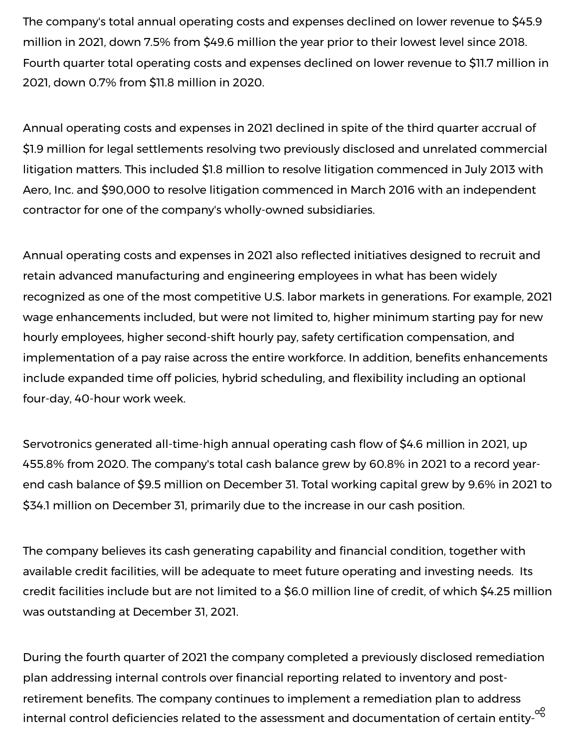The company's total annual operating costs and expenses declined on lower revenue to \$45.9 million in 2021, down 7.5% from \$49.6 million the year prior to their lowest level since 2018. Fourth quarter total operating costs and expenses declined on lower revenue to \$11.7 million in 2021, down 0.7% from \$11.8 million in 2020.

Annual operating costs and expenses in 2021 declined in spite of the third quarter accrual of \$1.9 million for legal settlements resolving two previously disclosed and unrelated commercial litigation matters. This included \$1.8 million to resolve litigation commenced in July 2013 with Aero, Inc. and \$90,000 to resolve litigation commenced in March 2016 with an independent contractor for one of the company's wholly-owned subsidiaries.

Annual operating costs and expenses in 2021 also reflected initiatives designed to recruit and retain advanced manufacturing and engineering employees in what has been widely recognized as one of the most competitive U.S. labor markets in generations. For example, 2021 wage enhancements included, but were not limited to, higher minimum starting pay for new hourly employees, higher second-shift hourly pay, safety certification compensation, and implementation of a pay raise across the entire workforce. In addition, benefits enhancements include expanded time off policies, hybrid scheduling, and flexibility including an optional four-day, 40-hour work week.

Servotronics generated all-time-high annual operating cash flow of \$4.6 million in 2021, up 455.8% from 2020. The company's total cash balance grew by 60.8% in 2021 to a record yearend cash balance of \$9.5 million on December 31. Total working capital grew by 9.6% in 2021 to \$34.1 million on December 31, primarily due to the increase in our cash position.

The company believes its cash generating capability and financial condition, together with available credit facilities, will be adequate to meet future operating and investing needs. Its credit facilities include but are not limited to a \$6.0 million line of credit, of which \$4.25 million was outstanding at December 31, 2021.

During the fourth quarter of 2021 the company completed a previously disclosed remediation plan addressing internal controls over financial reporting related to inventory and postretirement benefits. The company continues to implement a remediation plan to address internal control deficiencies related to the assessment and documentation of certain entity- $^{\alpha\!\otimes\!}$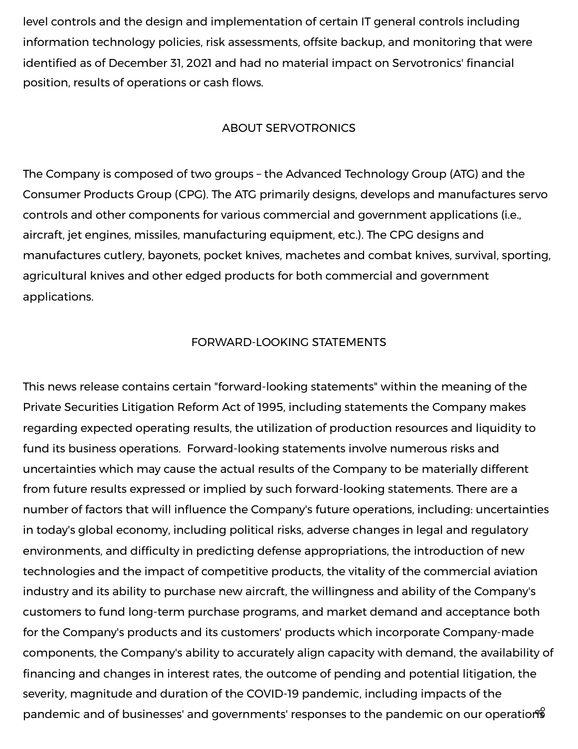level controls and the design and implementation of certain IT general controls including information technology policies, risk assessments, offsite backup, and monitoring that were identified as of December 31, 2021 and had no material impact on Servotronics' financial position, results of operations or cash flows.

## ABOUT SERVOTRONICS

The Company is composed of two groups – the Advanced Technology Group (ATG) and the Consumer Products Group (CPG). The ATG primarily designs, develops and manufactures servo controls and other components for various commercial and government applications (i.e., aircraft, jet engines, missiles, manufacturing equipment, etc.). The CPG designs and manufactures cutlery, bayonets, pocket knives, machetes and combat knives, survival, sporting, agricultural knives and other edged products for both commercial and government applications.

## FORWARD-LOOKING STATEMENTS

This news release contains certain "forward-looking statements" within the meaning of the Private Securities Litigation Reform Act of 1995, including statements the Company makes regarding expected operating results, the utilization of production resources and liquidity to fund its business operations. Forward-looking statements involve numerous risks and uncertainties which may cause the actual results of the Company to be materially different from future results expressed or implied by such forward-looking statements. There are a number of factors that will influence the Company's future operations, including: uncertainties in today's global economy, including political risks, adverse changes in legal and regulatory environments, and difficulty in predicting defense appropriations, the introduction of new technologies and the impact of competitive products, the vitality of the commercial aviation industry and its ability to purchase new aircraft, the willingness and ability of the Company's customers to fund long-term purchase programs, and market demand and acceptance both for the Company's products and its customers' products which incorporate Company-made components, the Company's ability to accurately align capacity with demand, the availability of financing and changes in interest rates, the outcome of pending and potential litigation, the severity, magnitude and duration of the COVID-19 pandemic, including impacts of the pandemic and of businesses' and governments' responses to the pandemic on our operations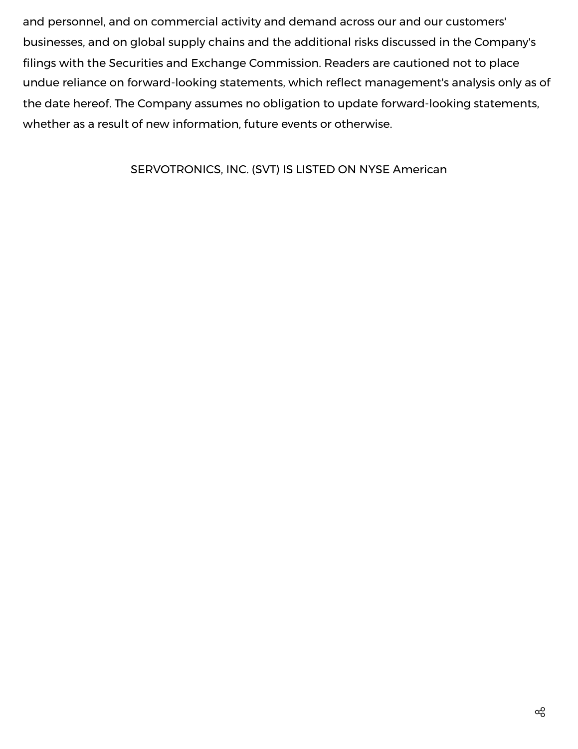and personnel, and on commercial activity and demand across our and our customers' businesses, and on global supply chains and the additional risks discussed in the Company's filings with the Securities and Exchange Commission. Readers are cautioned not to place undue reliance on forward-looking statements, which reflect management's analysis only as of the date hereof. The Company assumes no obligation to update forward-looking statements, whether as a result of new information, future events or otherwise.

# SERVOTRONICS, INC. (SVT) IS LISTED ON NYSE American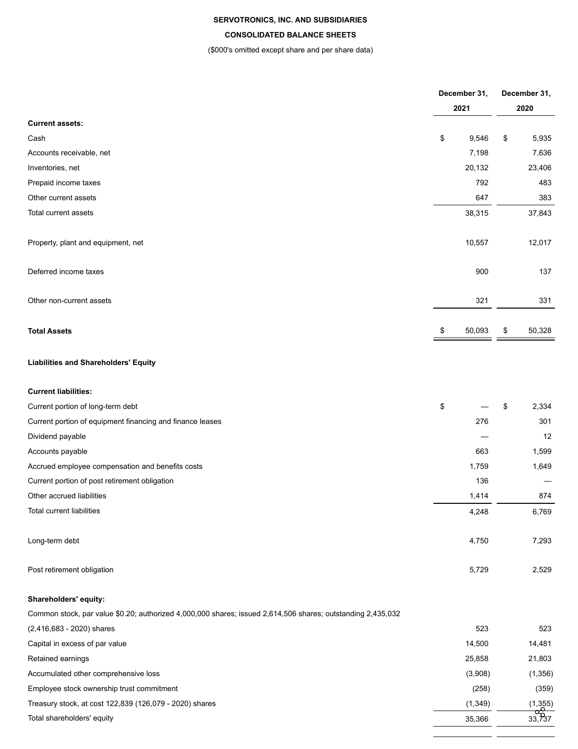#### **SERVOTRONICS, INC. AND SUBSIDIARIES**

#### **CONSOLIDATED BALANCE SHEETS**

#### (\$000's omitted except share and per share data)

|                                                                                                             | December 31, | December 31, |                    |  |
|-------------------------------------------------------------------------------------------------------------|--------------|--------------|--------------------|--|
|                                                                                                             | 2021         |              | 2020               |  |
| <b>Current assets:</b>                                                                                      |              |              |                    |  |
| Cash                                                                                                        | \$<br>9,546  | \$           | 5,935              |  |
| Accounts receivable, net                                                                                    | 7,198        |              | 7,636              |  |
| Inventories, net                                                                                            | 20,132       |              | 23,406             |  |
| Prepaid income taxes                                                                                        | 792          |              | 483                |  |
| Other current assets                                                                                        | 647          |              | 383                |  |
| Total current assets                                                                                        | 38,315       |              | 37,843             |  |
| Property, plant and equipment, net                                                                          | 10,557       |              | 12,017             |  |
| Deferred income taxes                                                                                       | 900          |              | 137                |  |
| Other non-current assets                                                                                    | 321          |              | 331                |  |
| <b>Total Assets</b>                                                                                         | \$<br>50,093 | \$           | 50,328             |  |
| <b>Liabilities and Shareholders' Equity</b>                                                                 |              |              |                    |  |
| <b>Current liabilities:</b>                                                                                 |              |              |                    |  |
| Current portion of long-term debt                                                                           | \$           | \$           | 2,334              |  |
| Current portion of equipment financing and finance leases                                                   | 276          |              | 301                |  |
| Dividend payable                                                                                            |              |              | 12                 |  |
| Accounts payable                                                                                            | 663          |              | 1,599              |  |
| Accrued employee compensation and benefits costs                                                            | 1,759        |              | 1,649              |  |
| Current portion of post retirement obligation                                                               | 136          |              |                    |  |
| Other accrued liabilities                                                                                   | 1,414        |              | 874                |  |
| Total current liabilities                                                                                   | 4,248        |              | 6,769              |  |
| Long-term debt                                                                                              | 4,750        |              | 7,293              |  |
| Post retirement obligation                                                                                  | 5,729        |              | 2,529              |  |
| Shareholders' equity:                                                                                       |              |              |                    |  |
| Common stock, par value \$0.20; authorized 4,000,000 shares; issued 2,614,506 shares; outstanding 2,435,032 |              |              |                    |  |
| (2,416,683 - 2020) shares                                                                                   | 523          |              | 523                |  |
| Capital in excess of par value                                                                              | 14,500       |              | 14,481             |  |
| Retained earnings                                                                                           | 25,858       |              | 21,803             |  |
| Accumulated other comprehensive loss                                                                        | (3,908)      |              | (1, 356)           |  |
| Employee stock ownership trust commitment                                                                   | (258)        |              | (359)              |  |
| Treasury stock, at cost 122,839 (126,079 - 2020) shares                                                     | (1, 349)     |              | (1,355)            |  |
| Total shareholders' equity                                                                                  | 35,366       |              | $\frac{1}{33,737}$ |  |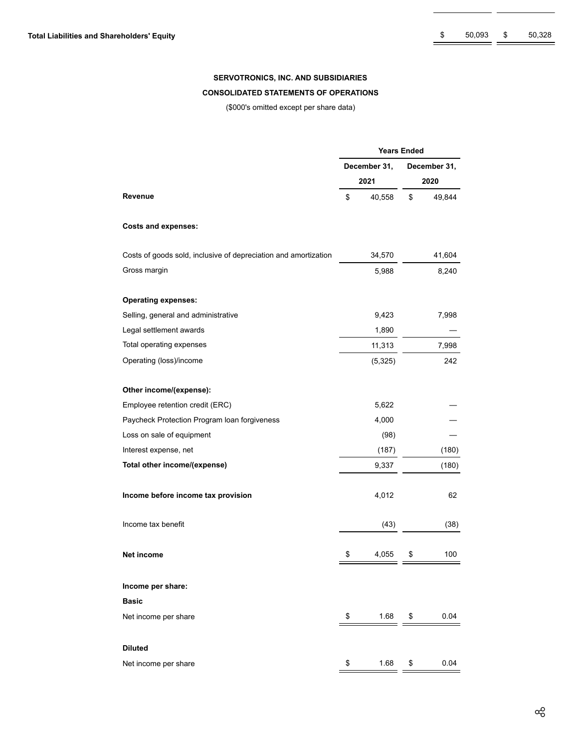#### **SERVOTRONICS, INC. AND SUBSIDIARIES**

#### **CONSOLIDATED STATEMENTS OF OPERATIONS**

(\$000's omitted except per share data)

|                                                                 | <b>Years Ended</b> |              |              |        |  |  |  |  |  |  |
|-----------------------------------------------------------------|--------------------|--------------|--------------|--------|--|--|--|--|--|--|
|                                                                 |                    | December 31, | December 31, |        |  |  |  |  |  |  |
|                                                                 |                    | 2021         | 2020         |        |  |  |  |  |  |  |
| Revenue                                                         | \$                 | 40,558       | \$           | 49,844 |  |  |  |  |  |  |
| <b>Costs and expenses:</b>                                      |                    |              |              |        |  |  |  |  |  |  |
| Costs of goods sold, inclusive of depreciation and amortization |                    | 34,570       |              | 41,604 |  |  |  |  |  |  |
| Gross margin                                                    |                    | 5,988        |              | 8,240  |  |  |  |  |  |  |
| <b>Operating expenses:</b>                                      |                    |              |              |        |  |  |  |  |  |  |
| Selling, general and administrative                             |                    | 9,423        |              | 7,998  |  |  |  |  |  |  |
| Legal settlement awards                                         |                    | 1,890        |              |        |  |  |  |  |  |  |
| Total operating expenses                                        |                    | 11,313       |              | 7,998  |  |  |  |  |  |  |
| Operating (loss)/income                                         |                    | (5, 325)     |              | 242    |  |  |  |  |  |  |
| Other income/(expense):                                         |                    |              |              |        |  |  |  |  |  |  |
| Employee retention credit (ERC)                                 |                    | 5,622        |              |        |  |  |  |  |  |  |
| Paycheck Protection Program loan forgiveness                    |                    | 4,000        |              |        |  |  |  |  |  |  |
| Loss on sale of equipment                                       |                    | (98)         |              |        |  |  |  |  |  |  |
| Interest expense, net                                           |                    | (187)        |              | (180)  |  |  |  |  |  |  |
| Total other income/(expense)                                    |                    | 9,337        |              | (180)  |  |  |  |  |  |  |
| Income before income tax provision                              |                    | 4,012        |              | 62     |  |  |  |  |  |  |
| Income tax benefit                                              |                    | (43)         |              | (38)   |  |  |  |  |  |  |
| Net income                                                      | \$                 | 4,055        | \$           | 100    |  |  |  |  |  |  |
| Income per share:                                               |                    |              |              |        |  |  |  |  |  |  |
| Basic                                                           |                    |              |              |        |  |  |  |  |  |  |
| Net income per share                                            | \$                 | 1.68         | \$           | 0.04   |  |  |  |  |  |  |
| <b>Diluted</b>                                                  |                    |              |              |        |  |  |  |  |  |  |
| Net income per share                                            | \$                 | 1.68         | \$           | 0.04   |  |  |  |  |  |  |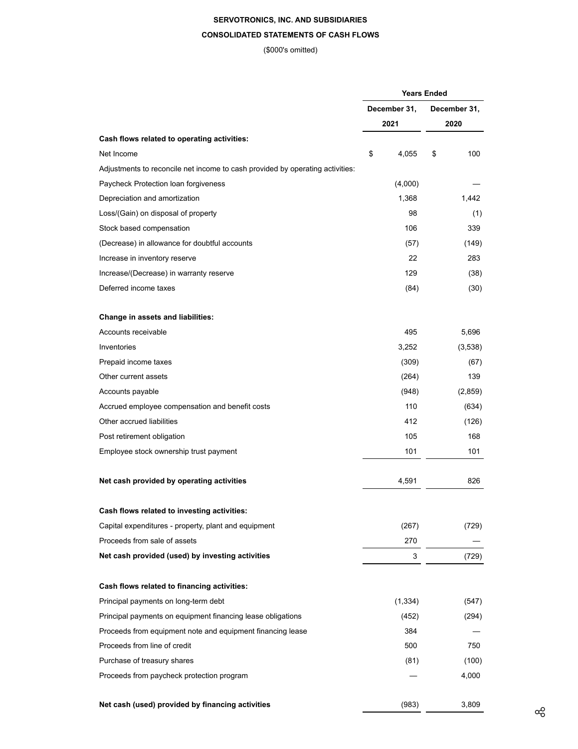# **SERVOTRONICS, INC. AND SUBSIDIARIES**

# **CONSOLIDATED STATEMENTS OF CASH FLOWS**

(\$000's omitted)

|                                                                               | <b>Years Ended</b> |              |  |  |  |  |  |
|-------------------------------------------------------------------------------|--------------------|--------------|--|--|--|--|--|
|                                                                               | December 31,       | December 31, |  |  |  |  |  |
|                                                                               | 2021               | 2020         |  |  |  |  |  |
| Cash flows related to operating activities:                                   |                    |              |  |  |  |  |  |
| Net Income                                                                    | \$<br>4,055        | \$<br>100    |  |  |  |  |  |
| Adjustments to reconcile net income to cash provided by operating activities: |                    |              |  |  |  |  |  |
| Paycheck Protection loan forgiveness                                          | (4,000)            |              |  |  |  |  |  |
| Depreciation and amortization                                                 | 1,368              | 1,442        |  |  |  |  |  |
| Loss/(Gain) on disposal of property                                           | 98                 | (1)          |  |  |  |  |  |
| Stock based compensation                                                      | 106                | 339          |  |  |  |  |  |
| (Decrease) in allowance for doubtful accounts                                 | (57)               | (149)        |  |  |  |  |  |
| Increase in inventory reserve                                                 | 22                 | 283          |  |  |  |  |  |
| Increase/(Decrease) in warranty reserve                                       | 129                | (38)         |  |  |  |  |  |
| Deferred income taxes                                                         | (84)               | (30)         |  |  |  |  |  |
| Change in assets and liabilities:                                             |                    |              |  |  |  |  |  |
| Accounts receivable                                                           | 495                | 5,696        |  |  |  |  |  |
| Inventories                                                                   | 3,252              | (3,538)      |  |  |  |  |  |
| Prepaid income taxes                                                          | (309)              | (67)         |  |  |  |  |  |
| Other current assets                                                          | (264)              | 139          |  |  |  |  |  |
| Accounts payable                                                              | (948)              | (2,859)      |  |  |  |  |  |
| Accrued employee compensation and benefit costs                               | 110                | (634)        |  |  |  |  |  |
| Other accrued liabilities                                                     | 412                | (126)        |  |  |  |  |  |
| Post retirement obligation                                                    | 105                | 168          |  |  |  |  |  |
| Employee stock ownership trust payment                                        | 101                | 101          |  |  |  |  |  |
|                                                                               |                    |              |  |  |  |  |  |
| Net cash provided by operating activities                                     | 4,591              | 826          |  |  |  |  |  |
| Cash flows related to investing activities:                                   |                    |              |  |  |  |  |  |
| Capital expenditures - property, plant and equipment                          | (267)              | (729)        |  |  |  |  |  |
| Proceeds from sale of assets                                                  | 270                |              |  |  |  |  |  |
| Net cash provided (used) by investing activities                              | 3                  | (729)        |  |  |  |  |  |
| Cash flows related to financing activities:                                   |                    |              |  |  |  |  |  |
| Principal payments on long-term debt                                          | (1, 334)           | (547)        |  |  |  |  |  |
| Principal payments on equipment financing lease obligations                   | (452)              | (294)        |  |  |  |  |  |
| Proceeds from equipment note and equipment financing lease                    | 384                |              |  |  |  |  |  |
| Proceeds from line of credit                                                  | 500                | 750          |  |  |  |  |  |
| Purchase of treasury shares                                                   | (81)               | (100)        |  |  |  |  |  |
| Proceeds from paycheck protection program                                     |                    | 4,000        |  |  |  |  |  |
| Net cash (used) provided by financing activities                              | (983)              | 3,809        |  |  |  |  |  |
|                                                                               |                    |              |  |  |  |  |  |